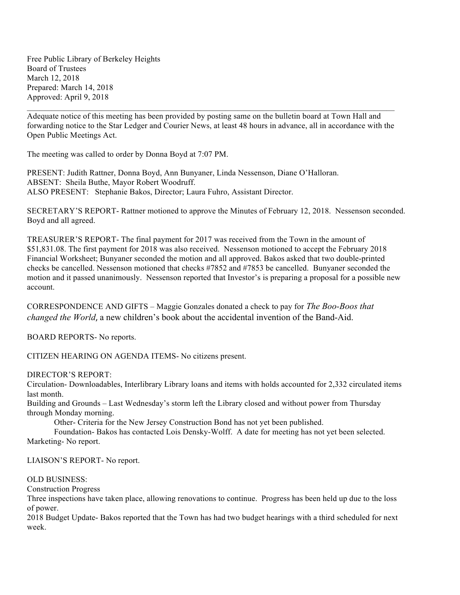Free Public Library of Berkeley Heights Board of Trustees March 12, 2018 Prepared: March 14, 2018 Approved: April 9, 2018

Adequate notice of this meeting has been provided by posting same on the bulletin board at Town Hall and forwarding notice to the Star Ledger and Courier News, at least 48 hours in advance, all in accordance with the Open Public Meetings Act.

 $\mathcal{L}_\mathcal{L} = \mathcal{L}_\mathcal{L} = \mathcal{L}_\mathcal{L} = \mathcal{L}_\mathcal{L} = \mathcal{L}_\mathcal{L} = \mathcal{L}_\mathcal{L} = \mathcal{L}_\mathcal{L} = \mathcal{L}_\mathcal{L} = \mathcal{L}_\mathcal{L} = \mathcal{L}_\mathcal{L} = \mathcal{L}_\mathcal{L} = \mathcal{L}_\mathcal{L} = \mathcal{L}_\mathcal{L} = \mathcal{L}_\mathcal{L} = \mathcal{L}_\mathcal{L} = \mathcal{L}_\mathcal{L} = \mathcal{L}_\mathcal{L}$ 

The meeting was called to order by Donna Boyd at 7:07 PM.

PRESENT: Judith Rattner, Donna Boyd, Ann Bunyaner, Linda Nessenson, Diane O'Halloran. ABSENT: Sheila Buthe, Mayor Robert Woodruff. ALSO PRESENT: Stephanie Bakos, Director; Laura Fuhro, Assistant Director.

SECRETARY'S REPORT- Rattner motioned to approve the Minutes of February 12, 2018. Nessenson seconded. Boyd and all agreed.

TREASURER'S REPORT- The final payment for 2017 was received from the Town in the amount of \$51,831.08. The first payment for 2018 was also received. Nessenson motioned to accept the February 2018 Financial Worksheet; Bunyaner seconded the motion and all approved. Bakos asked that two double-printed checks be cancelled. Nessenson motioned that checks #7852 and #7853 be cancelled. Bunyaner seconded the motion and it passed unanimously. Nessenson reported that Investor's is preparing a proposal for a possible new account.

CORRESPONDENCE AND GIFTS – Maggie Gonzales donated a check to pay for *The Boo-Boos that changed the World*, a new children's book about the accidental invention of the Band-Aid.

BOARD REPORTS- No reports.

CITIZEN HEARING ON AGENDA ITEMS- No citizens present.

DIRECTOR'S REPORT:

Circulation- Downloadables, Interlibrary Library loans and items with holds accounted for 2,332 circulated items last month.

Building and Grounds – Last Wednesday's storm left the Library closed and without power from Thursday through Monday morning.

Other- Criteria for the New Jersey Construction Bond has not yet been published.

Foundation- Bakos has contacted Lois Densky-Wolff. A date for meeting has not yet been selected. Marketing- No report.

LIAISON'S REPORT- No report.

## OLD BUSINESS:

Construction Progress

Three inspections have taken place, allowing renovations to continue. Progress has been held up due to the loss of power.

2018 Budget Update- Bakos reported that the Town has had two budget hearings with a third scheduled for next week.